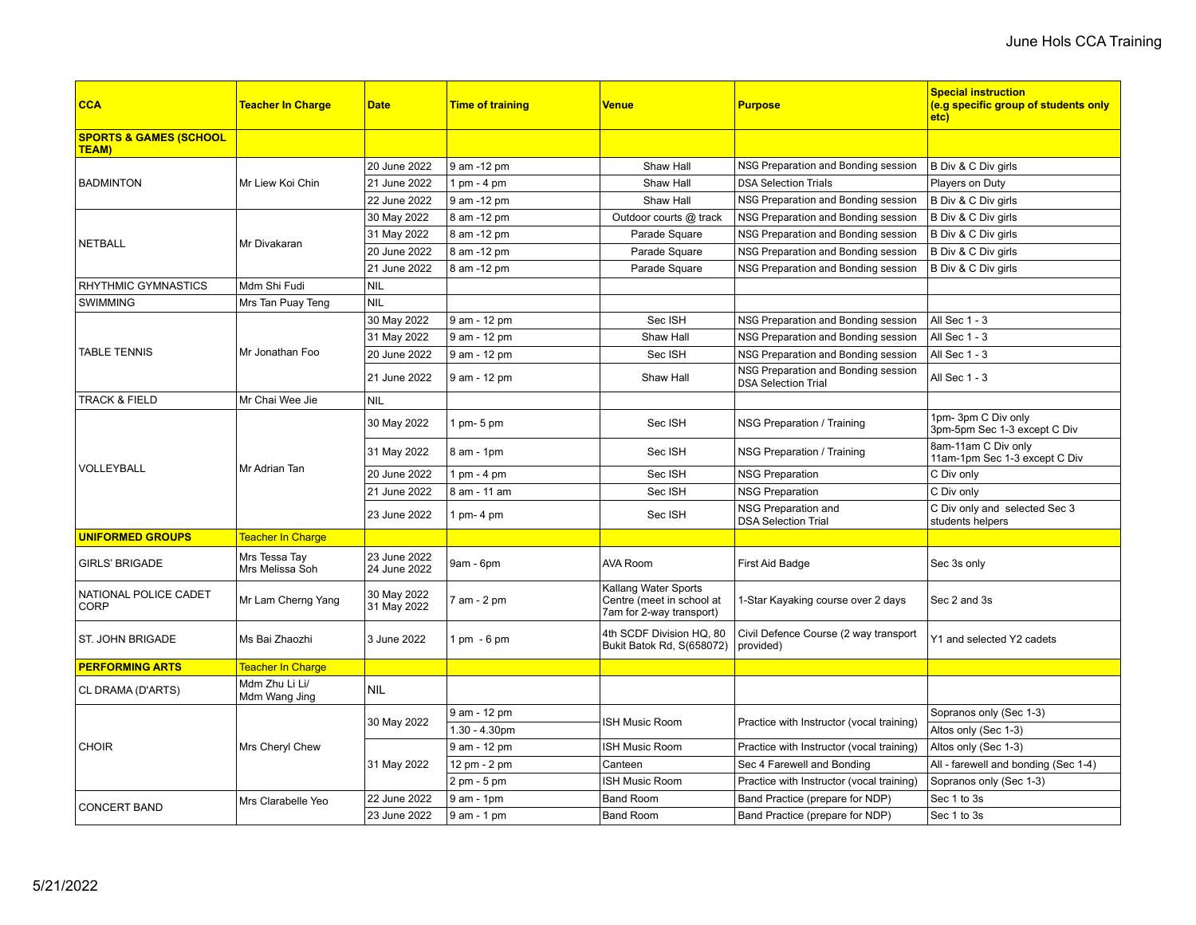| <b>CCA</b>                                        | Teacher In Charge                | <b>Date</b>                  | <b>Time of training</b> | Venue                                                                         | <b>Purpose</b>                                                    | <b>Special instruction</b><br>(e.g specific group of students only<br>etc) |
|---------------------------------------------------|----------------------------------|------------------------------|-------------------------|-------------------------------------------------------------------------------|-------------------------------------------------------------------|----------------------------------------------------------------------------|
| <b>SPORTS &amp; GAMES (SCHOOL</b><br><b>TEAM)</b> |                                  |                              |                         |                                                                               |                                                                   |                                                                            |
| <b>BADMINTON</b>                                  | Mr Liew Koi Chin                 | 20 June 2022                 | 9 am -12 pm             | Shaw Hall                                                                     | NSG Preparation and Bonding session                               | B Div & C Div girls                                                        |
|                                                   |                                  | 21 June 2022                 | 1 pm - 4 pm             | Shaw Hall                                                                     | <b>DSA Selection Trials</b>                                       | Players on Duty                                                            |
|                                                   |                                  | 22 June 2022                 | 9 am -12 pm             | Shaw Hall                                                                     | NSG Preparation and Bonding session                               | B Div & C Div girls                                                        |
| <b>NETBALL</b>                                    | Mr Divakaran                     | 30 May 2022                  | 8 am -12 pm             | Outdoor courts @ track                                                        | NSG Preparation and Bonding session                               | B Div & C Div girls                                                        |
|                                                   |                                  | 31 May 2022                  | 8 am -12 pm             | Parade Square                                                                 | NSG Preparation and Bonding session                               | B Div & C Div girls                                                        |
|                                                   |                                  | 20 June 2022                 | 8 am -12 pm             | Parade Square                                                                 | NSG Preparation and Bonding session                               | B Div & C Div girls                                                        |
|                                                   |                                  | 21 June 2022                 | 8 am -12 pm             | Parade Square                                                                 | NSG Preparation and Bonding session                               | B Div & C Div girls                                                        |
| <b>RHYTHMIC GYMNASTICS</b>                        | Mdm Shi Fudi                     | <b>NIL</b>                   |                         |                                                                               |                                                                   |                                                                            |
| <b>SWIMMING</b>                                   | Mrs Tan Puay Teng                | <b>NIL</b>                   |                         |                                                                               |                                                                   |                                                                            |
|                                                   | Mr Jonathan Foo                  | 30 May 2022                  | 9 am - 12 pm            | Sec ISH                                                                       | NSG Preparation and Bonding session                               | All Sec 1 - 3                                                              |
|                                                   |                                  | 31 May 2022                  | 9 am - 12 pm            | Shaw Hall                                                                     | NSG Preparation and Bonding session                               | All Sec 1 - 3                                                              |
| <b>TABLE TENNIS</b>                               |                                  | 20 June 2022                 | 9 am - 12 pm            | Sec ISH                                                                       | NSG Preparation and Bonding session                               | All Sec 1 - 3                                                              |
|                                                   |                                  | 21 June 2022                 | 9 am - 12 pm            | Shaw Hall                                                                     | NSG Preparation and Bonding session<br><b>DSA Selection Trial</b> | All Sec 1 - 3                                                              |
| <b>TRACK &amp; FIELD</b>                          | Mr Chai Wee Jie                  | <b>NIL</b>                   |                         |                                                                               |                                                                   |                                                                            |
| <b>VOLLEYBALL</b>                                 | Mr Adrian Tan                    | 30 May 2022                  | 1 pm- 5 pm              | Sec ISH                                                                       | NSG Preparation / Training                                        | 1pm-3pm C Div only<br>3pm-5pm Sec 1-3 except C Div                         |
|                                                   |                                  | 31 May 2022                  | 8 am - 1pm              | Sec ISH                                                                       | NSG Preparation / Training                                        | 8am-11am C Div only<br>11am-1pm Sec 1-3 except C Div                       |
|                                                   |                                  | 20 June 2022                 | $1$ pm - $4$ pm         | Sec ISH                                                                       | <b>NSG Preparation</b>                                            | C Div only                                                                 |
|                                                   |                                  | 21 June 2022                 | 8 am - 11 am            | Sec ISH                                                                       | <b>NSG Preparation</b>                                            | C Div only                                                                 |
|                                                   |                                  | 23 June 2022                 | 1 pm- 4 pm              | Sec ISH                                                                       | NSG Preparation and<br><b>DSA Selection Trial</b>                 | C Div only and selected Sec 3<br>students helpers                          |
| <b>UNIFORMED GROUPS</b>                           | Teacher In Charge                |                              |                         |                                                                               |                                                                   |                                                                            |
| <b>GIRLS' BRIGADE</b>                             | Mrs Tessa Tay<br>Mrs Melissa Soh | 23 June 2022<br>24 June 2022 | 9am - 6pm               | <b>AVA Room</b>                                                               | First Aid Badge                                                   | Sec 3s only                                                                |
| NATIONAL POLICE CADET<br><b>CORP</b>              | Mr Lam Cherng Yang               | 30 May 2022<br>31 May 2022   | 7 am - 2 pm             | Kallang Water Sports<br>Centre (meet in school at<br>7am for 2-way transport) | 1-Star Kayaking course over 2 days                                | Sec 2 and 3s                                                               |
| <b>ST. JOHN BRIGADE</b>                           | Ms Bai Zhaozhi                   | 3 June 2022                  | 1 pm - 6 pm             | 4th SCDF Division HQ, 80<br>Bukit Batok Rd, S(658072)                         | Civil Defence Course (2 way transport<br>provided)                | Y1 and selected Y2 cadets                                                  |
| <b>PERFORMING ARTS</b>                            | Teacher In Charge                |                              |                         |                                                                               |                                                                   |                                                                            |
| CL DRAMA (D'ARTS)                                 | Mdm Zhu Li Li/<br>Mdm Wang Jing  | <b>NIL</b>                   |                         |                                                                               |                                                                   |                                                                            |
| <b>CHOIR</b>                                      | Mrs Cheryl Chew                  | 30 May 2022                  | 9 am - 12 pm            | <b>ISH Music Room</b>                                                         | Practice with Instructor (vocal training)                         | Sopranos only (Sec 1-3)                                                    |
|                                                   |                                  |                              | $1.30 - 4.30$ pm        |                                                                               |                                                                   | Altos only (Sec 1-3)                                                       |
|                                                   |                                  | 31 May 2022                  | 9 am - 12 pm            | <b>ISH Music Room</b>                                                         | Practice with Instructor (vocal training)                         | Altos only (Sec 1-3)                                                       |
|                                                   |                                  |                              | 12 pm - 2 pm            | Canteen                                                                       | Sec 4 Farewell and Bonding                                        | All - farewell and bonding (Sec 1-4)                                       |
|                                                   |                                  |                              | 2 pm - 5 pm             | <b>ISH Music Room</b>                                                         | Practice with Instructor (vocal training)                         | Sopranos only (Sec 1-3)                                                    |
| <b>CONCERT BAND</b>                               | Mrs Clarabelle Yeo               | 22 June 2022                 | $9$ am - 1pm            | <b>Band Room</b>                                                              | Band Practice (prepare for NDP)                                   | Sec 1 to 3s                                                                |
|                                                   |                                  | 23 June 2022                 | 9 am - 1 pm             | <b>Band Room</b>                                                              | Band Practice (prepare for NDP)                                   | Sec 1 to 3s                                                                |